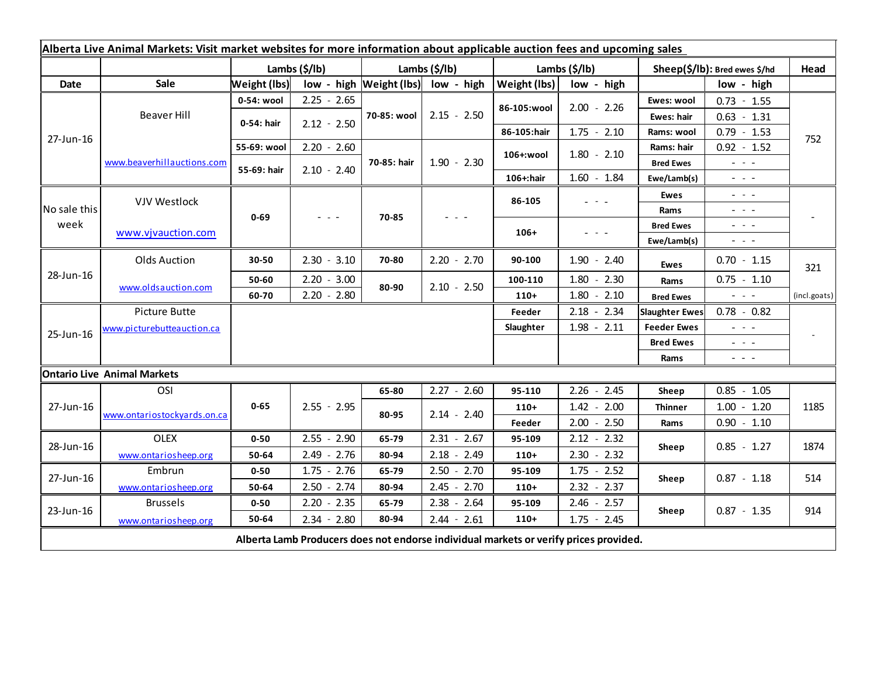| Alberta Live Animal Markets: Visit market websites for more information about applicable auction fees and upcoming sales |                             |               |                                                                                                |               |                                    |               |                                                                                       |                               |                                                                                                                           |              |
|--------------------------------------------------------------------------------------------------------------------------|-----------------------------|---------------|------------------------------------------------------------------------------------------------|---------------|------------------------------------|---------------|---------------------------------------------------------------------------------------|-------------------------------|---------------------------------------------------------------------------------------------------------------------------|--------------|
|                                                                                                                          |                             | Lambs (\$/lb) |                                                                                                | Lambs (\$/lb) |                                    | Lambs (\$/lb) |                                                                                       | Sheep(\$/lb): Bred ewes \$/hd |                                                                                                                           | Head         |
| Date                                                                                                                     | Sale                        | Weight (lbs)  |                                                                                                |               | low - high Weight (lbs) low - high | Weight (lbs)  | low - high                                                                            |                               | low - high                                                                                                                |              |
| 27-Jun-16                                                                                                                | Beaver Hill                 | 0-54: wool    | $2.25 - 2.65$                                                                                  | 70-85: wool   | $2.15 - 2.50$                      | 86-105:wool   | $2.00 - 2.26$                                                                         | Ewes: wool                    | $0.73 - 1.55$                                                                                                             | 752          |
|                                                                                                                          |                             | 0-54: hair    | $2.12 - 2.50$                                                                                  |               |                                    |               |                                                                                       | Ewes: hair                    | $0.63 - 1.31$                                                                                                             |              |
|                                                                                                                          |                             |               |                                                                                                |               |                                    | 86-105:hair   | $1.75 - 2.10$                                                                         | Rams: wool                    | $0.79 - 1.53$                                                                                                             |              |
|                                                                                                                          | www.beaverhillauctions.com  | 55-69: wool   | $2.20 - 2.60$                                                                                  | 70-85: hair   | $1.90 - 2.30$                      | 106+:wool     | $1.80 - 2.10$                                                                         | Rams: hair                    | $0.92 - 1.52$                                                                                                             |              |
|                                                                                                                          |                             | 55-69: hair   | $2.10 - 2.40$                                                                                  |               |                                    |               |                                                                                       | <b>Bred Ewes</b>              | $\omega_{\rm{eff}}=0.02$                                                                                                  |              |
|                                                                                                                          |                             |               |                                                                                                |               |                                    | 106+:hair     | $1.60 - 1.84$                                                                         | Ewe/Lamb(s)                   | $\frac{1}{2} \left( \frac{1}{2} \right) \left( \frac{1}{2} \right) \left( \frac{1}{2} \right)$                            |              |
| No sale this<br>week                                                                                                     | <b>VJV Westlock</b>         | $0 - 69$      | $\frac{1}{2} \left( \frac{1}{2} \right) \left( \frac{1}{2} \right) \left( \frac{1}{2} \right)$ | 70-85         |                                    | 86-105        | $\omega_{\rm{eff}}$ and $\omega_{\rm{eff}}$                                           | Ewes                          | $\sim$ 100 $\sim$                                                                                                         |              |
|                                                                                                                          |                             |               |                                                                                                |               |                                    |               |                                                                                       | Rams                          | $  -$                                                                                                                     |              |
|                                                                                                                          | www.vjvauction.com          |               |                                                                                                |               |                                    | $106+$        | - - -                                                                                 | <b>Bred Ewes</b>              | $\frac{1}{2} \left( \frac{1}{2} \right) = \frac{1}{2} \left( \frac{1}{2} \right)$                                         |              |
|                                                                                                                          |                             |               |                                                                                                |               |                                    |               |                                                                                       | Ewe/Lamb(s)                   | $\frac{1}{2} \left( \frac{1}{2} \right) \left( \frac{1}{2} \right) \left( \frac{1}{2} \right) \left( \frac{1}{2} \right)$ |              |
| 28-Jun-16                                                                                                                | <b>Olds Auction</b>         | 30-50         | $2.30 - 3.10$                                                                                  | 70-80         | $2.20 - 2.70$                      | 90-100        | $1.90 - 2.40$                                                                         | <b>Ewes</b>                   | $0.70 - 1.15$                                                                                                             | 321          |
|                                                                                                                          | www.oldsauction.com         | 50-60         | $2.20 - 3.00$                                                                                  | 80-90         | $2.10 - 2.50$                      | 100-110       | $1.80 - 2.30$                                                                         | Rams                          | $0.75 - 1.10$                                                                                                             |              |
|                                                                                                                          |                             | 60-70         | $2.20 - 2.80$                                                                                  |               |                                    | $110+$        | $1.80 - 2.10$                                                                         | <b>Bred Ewes</b>              | $\omega_{\rm{eff}}$ and $\omega_{\rm{eff}}$                                                                               | (incl.goats) |
| 25-Jun-16                                                                                                                | Picture Butte               |               |                                                                                                |               |                                    | Feeder        | $2.18 - 2.34$                                                                         | <b>Slaughter Ewes</b>         | $0.78 - 0.82$                                                                                                             |              |
|                                                                                                                          | www.picturebutteauction.ca  |               |                                                                                                |               |                                    | Slaughter     | $1.98 - 2.11$                                                                         | <b>Feeder Ewes</b>            | $\omega_{\rm{eff}}$ and $\omega_{\rm{eff}}$                                                                               |              |
|                                                                                                                          |                             |               |                                                                                                |               |                                    |               |                                                                                       | <b>Bred Ewes</b>              | $\omega_{\rm{max}}$ and $\omega_{\rm{max}}$                                                                               |              |
|                                                                                                                          |                             |               |                                                                                                |               |                                    |               |                                                                                       | Rams                          | $\frac{1}{2} \left( \frac{1}{2} \right) \left( \frac{1}{2} \right) \left( \frac{1}{2} \right) \left( \frac{1}{2} \right)$ |              |
| <b>Ontario Live Animal Markets</b>                                                                                       |                             |               |                                                                                                |               |                                    |               |                                                                                       |                               |                                                                                                                           |              |
| 27-Jun-16                                                                                                                | OSI                         |               |                                                                                                | 65-80         | $2.27 - 2.60$                      | 95-110        | $2.26 - 2.45$                                                                         | Sheep                         | $0.85 - 1.05$                                                                                                             |              |
|                                                                                                                          | www.ontariostockyards.on.ca | $0 - 65$      | $2.55 - 2.95$                                                                                  | 80-95         | $2.14 - 2.40$                      | $110+$        | $1.42 - 2.00$                                                                         | <b>Thinner</b>                | $1.00 - 1.20$                                                                                                             | 1185         |
|                                                                                                                          |                             |               |                                                                                                |               |                                    | Feeder        | $2.00 - 2.50$                                                                         | Rams                          | $0.90 - 1.10$                                                                                                             |              |
| 28-Jun-16                                                                                                                | <b>OLEX</b>                 | $0 - 50$      | $2.55 - 2.90$                                                                                  | 65-79         | $2.31 - 2.67$                      | 95-109        | $2.12 - 2.32$                                                                         | Sheep                         | $0.85 - 1.27$                                                                                                             | 1874         |
|                                                                                                                          | www.ontariosheep.org        | 50-64         | $2.49 - 2.76$                                                                                  | 80-94         | $2.18 - 2.49$                      | $110+$        | $2.30 - 2.32$                                                                         |                               |                                                                                                                           |              |
| 27-Jun-16                                                                                                                | Embrun                      | $0 - 50$      | $1.75 - 2.76$                                                                                  | 65-79         | $2.50 - 2.70$                      | 95-109        | $1.75 - 2.52$                                                                         | Sheep                         | $0.87 - 1.18$                                                                                                             | 514          |
|                                                                                                                          | www.ontariosheep.org        | 50-64         | $2.50 - 2.74$                                                                                  | 80-94         | $2.45 - 2.70$                      | $110+$        | $2.32 - 2.37$                                                                         |                               |                                                                                                                           |              |
| 23-Jun-16                                                                                                                | <b>Brussels</b>             | $0 - 50$      | $2.20 - 2.35$                                                                                  | 65-79         | $2.38 - 2.64$                      | 95-109        | $2.46 - 2.57$                                                                         |                               | $0.87 - 1.35$                                                                                                             | 914          |
|                                                                                                                          | www.ontariosheep.org        | 50-64         | $2.34 - 2.80$                                                                                  | 80-94         | $2.44 - 2.61$                      | $110+$        | $1.75 - 2.45$                                                                         | Sheep                         |                                                                                                                           |              |
|                                                                                                                          |                             |               |                                                                                                |               |                                    |               | Alberta Lamb Producers does not endorse individual markets or verify prices provided. |                               |                                                                                                                           |              |